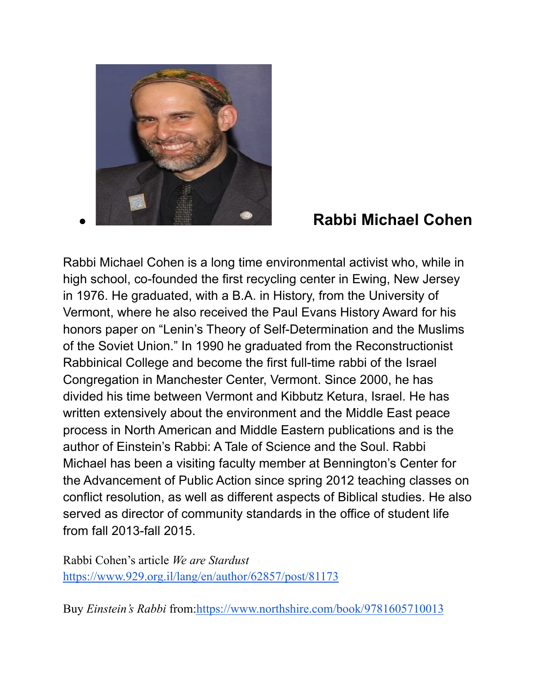

## ● **Rabbi Michael Cohen**

Rabbi Michael Cohen is a long time environmental activist who, while in high school, co-founded the first recycling center in Ewing, New Jersey in 1976. He graduated, with a B.A. in History, from the University of Vermont, where he also received the Paul Evans History Award for his honors paper on "Lenin's Theory of Self-Determination and the Muslims of the Soviet Union." In 1990 he graduated from the Reconstructionist Rabbinical College and become the first full-time rabbi of the Israel Congregation in Manchester Center, Vermont. Since 2000, he has divided his time between Vermont and Kibbutz Ketura, Israel. He has written extensively about the environment and the Middle East peace process in North American and Middle Eastern publications and is the author of Einstein's Rabbi: A Tale of Science and the Soul. Rabbi Michael has been a visiting faculty member at Bennington's Center for the Advancement of Public Action since spring 2012 teaching classes on conflict resolution, as well as different aspects of Biblical studies. He also served as director of community standards in the office of student life from fall 2013-fall 2015.

Rabbi Cohen's article *We are Stardust* <https://www.929.org.il/lang/en/author/62857/post/81173>

Buy *Einstein's Rabbi* from[:https://www.northshire.com/book/9781605710013](https://www.northshire.com/book/9781605710013)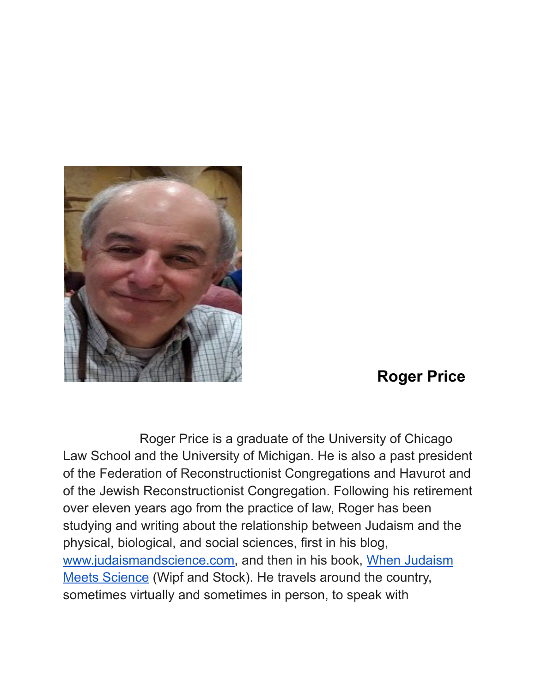

## **Roger Price**

Roger Price is a graduate of the University of Chicago Law School and the University of Michigan. He is also a past president of the Federation of Reconstructionist Congregations and Havurot and of the Jewish Reconstructionist Congregation. Following his retirement over eleven years ago from the practice of law, Roger has been studying and writing about the relationship between Judaism and the physical, biological, and social sciences, first in his blog, [www.judaismandscience.com,](http://www.judaismandscience.com/) and then in his book, When [Judaism](https://www.amazon.com/Judaism-Meets-Science-Roger-Price/dp/1532653557) [Meets Science](https://www.amazon.com/Judaism-Meets-Science-Roger-Price/dp/1532653557) (Wipf and Stock). He travels around the country, sometimes virtually and sometimes in person, to speak with